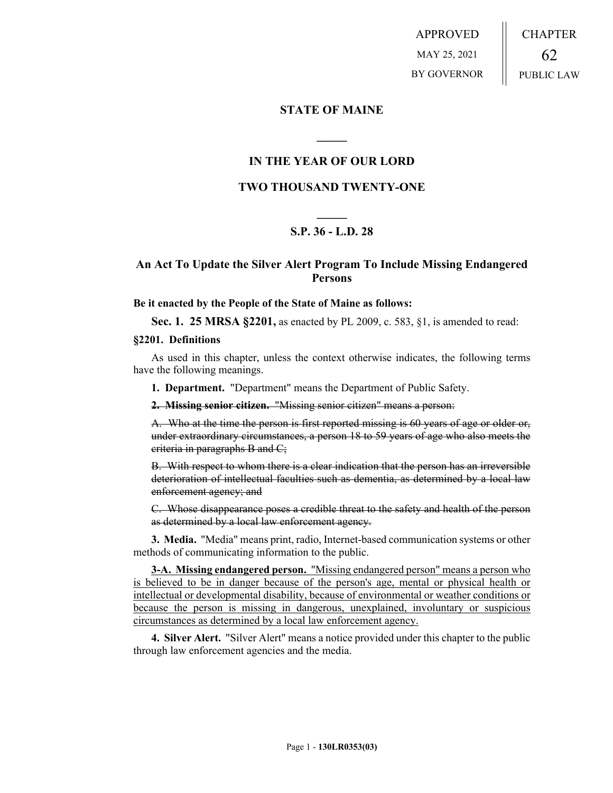APPROVED MAY 25, 2021 BY GOVERNOR CHAPTER 62 PUBLIC LAW

### **STATE OF MAINE**

# **IN THE YEAR OF OUR LORD**

**\_\_\_\_\_**

### **TWO THOUSAND TWENTY-ONE**

# **\_\_\_\_\_ S.P. 36 - L.D. 28**

# **An Act To Update the Silver Alert Program To Include Missing Endangered Persons**

#### **Be it enacted by the People of the State of Maine as follows:**

**Sec. 1. 25 MRSA §2201,** as enacted by PL 2009, c. 583, §1, is amended to read:

#### **§2201. Definitions**

As used in this chapter, unless the context otherwise indicates, the following terms have the following meanings.

**1. Department.** "Department" means the Department of Public Safety.

**2. Missing senior citizen.** "Missing senior citizen" means a person:

A. Who at the time the person is first reported missing is 60 years of age or older or, under extraordinary circumstances, a person 18 to 59 years of age who also meets the criteria in paragraphs B and C;

B. With respect to whom there is a clear indication that the person has an irreversible deterioration of intellectual faculties such as dementia, as determined by a local law enforcement agency; and

C. Whose disappearance poses a credible threat to the safety and health of the person as determined by a local law enforcement agency.

**3. Media.** "Media" means print, radio, Internet-based communication systems or other methods of communicating information to the public.

**3-A. Missing endangered person.** "Missing endangered person" means a person who is believed to be in danger because of the person's age, mental or physical health or intellectual or developmental disability, because of environmental or weather conditions or because the person is missing in dangerous, unexplained, involuntary or suspicious circumstances as determined by a local law enforcement agency.

**4. Silver Alert.** "Silver Alert" means a notice provided under this chapter to the public through law enforcement agencies and the media.